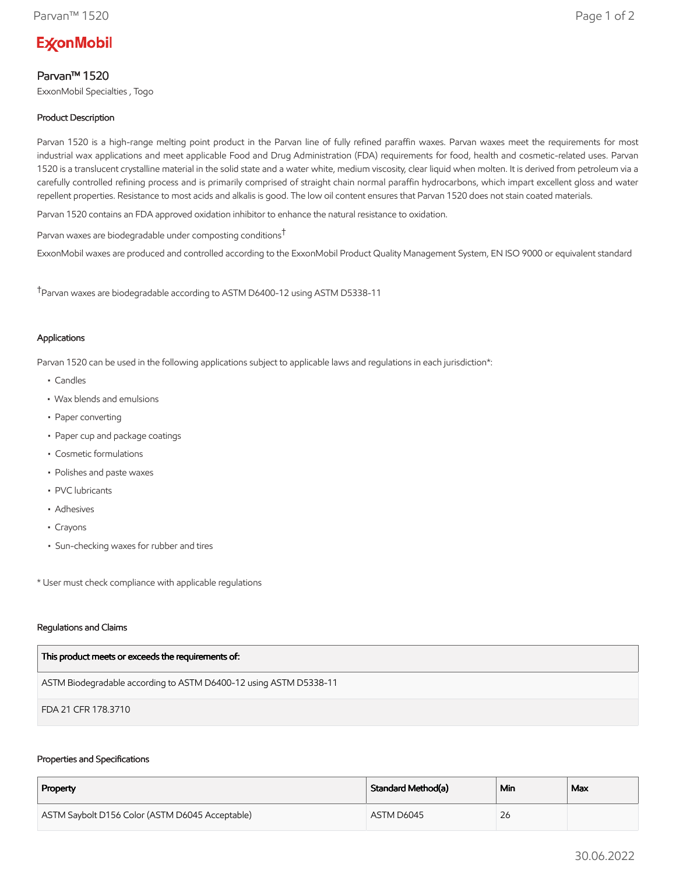# **ExconMobil**

# Parvan™ 1520

ExxonMobil Specialties , Togo

## Product Description

Parvan 1520 is a high-range melting point product in the Parvan line of fully refined paraffin waxes. Parvan waxes meet the requirements for most industrial wax applications and meet applicable Food and Drug Administration (FDA) requirements for food, health and cosmetic-related uses. Parvan 1520 is a translucent crystalline material in the solid state and a water white, medium viscosity, clear liquid when molten. It is derived from petroleum via a carefully controlled refining process and is primarily comprised of straight chain normal paraffin hydrocarbons, which impart excellent gloss and water repellent properties. Resistance to most acids and alkalis is good. The low oil content ensures that Parvan 1520 does not stain coated materials.

Parvan 1520 contains an FDA approved oxidation inhibitor to enhance the natural resistance to oxidation.

Parvan waxes are biodegradable under composting conditions†

ExxonMobil waxes are produced and controlled according to the ExxonMobil Product Quality Management System, EN ISO 9000 or equivalent standard

†Parvan waxes are biodegradable according to ASTM D6400-12 using ASTM D5338-11

## Applications

Parvan 1520 can be used in the following applications subject to applicable laws and regulations in each jurisdiction\*:

- Candles
- Wax blends and emulsions
- Paper converting
- Paper cup and package coatings
- Cosmetic formulations
- Polishes and paste waxes
- PVC lubricants
- Adhesives
- Crayons
- Sun-checking waxes for rubber and tires

\* User must check compliance with applicable regulations

#### Regulations and Claims

| This product meets or exceeds the requirements of:                |
|-------------------------------------------------------------------|
| ASTM Biodegradable according to ASTM D6400-12 using ASTM D5338-11 |
| FDA 21 CFR 178.3710                                               |

#### Properties and Specifications

| Property                                        | Standard Method(a) | Min | Max |
|-------------------------------------------------|--------------------|-----|-----|
| ASTM Saybolt D156 Color (ASTM D6045 Acceptable) | ASTM D6045         | 26  |     |